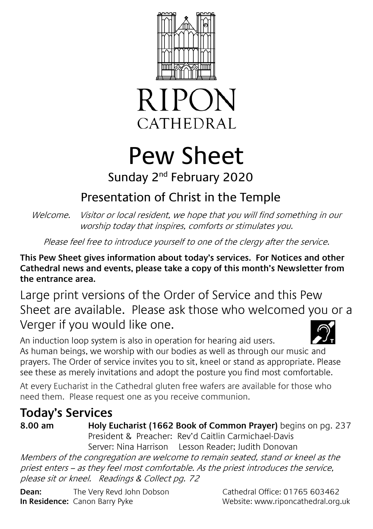



# Pew Sheet

### Sunday 2<sup>nd</sup> February 2020

# Presentation of Christ in the Temple

Welcome. Visitor or local resident, we hope that you will find something in our worship today that inspires, comforts or stimulates you.

Please feel free to introduce yourself to one of the clergy after the service.

**This Pew Sheet gives information about today's services. For Notices and other Cathedral news and events, please take a copy of this month's Newsletter from the entrance area.** 

Large print versions of the Order of Service and this Pew Sheet are available. Please ask those who welcomed you or a Verger if you would like one.

An induction loop system is also in operation for hearing aid users. As human beings, we worship with our bodies as well as through our music and prayers. The Order of service invites you to sit, kneel or stand as appropriate. Please see these as merely invitations and adopt the posture you find most comfortable.

At every Eucharist in the Cathedral gluten free wafers are available for those who need them. Please request one as you receive communion.

## **Today's Services**

**8.00 am Holy Eucharist (1662 Book of Common Prayer)** begins on pg. 237 President & Preacher: Rev'd Caitlin Carmichael-Davis Server: Nina Harrison Lesson Reader; Judith Donovan

Members of the congregation are welcome to remain seated, stand or kneel as the priest enters – as they feel most comfortable. As the priest introduces the service, please sit or kneel. Readings & Collect pg. 72

**Dean:** The Very Revd John Dobson Cathedral Office: 01765 603462 **In Residence:** Canon Barry Pyke Website: www.riponcathedral.org.uk